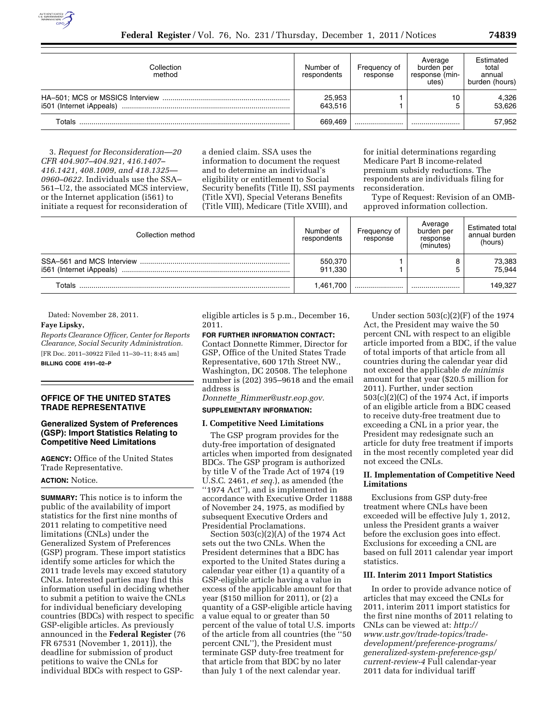

| Collection<br>method     | Number of<br>respondents | Frequency of<br>response | Average<br>burden per<br>response (min-<br>utes) | Estimated<br>total<br>annual<br>burden (hours) |
|--------------------------|--------------------------|--------------------------|--------------------------------------------------|------------------------------------------------|
| i501 (Internet iAppeals) | 25,953<br>643.516        |                          | 10                                               | 4,326<br>53.626                                |
| Totals                   | 669.469                  |                          |                                                  | 57,952                                         |

3. *Request for Reconsideration—20 CFR 404.907–404.921, 416.1407– 416.1421, 408.1009, and 418.1325— 0960–0622.* Individuals use the SSA– 561–U2, the associated MCS interview, or the Internet application (i561) to initiate a request for reconsideration of a denied claim. SSA uses the information to document the request and to determine an individual's eligibility or entitlement to Social Security benefits (Title II), SSI payments (Title XVI), Special Veterans Benefits (Title VIII), Medicare (Title XVIII), and

for initial determinations regarding Medicare Part B income-related premium subsidy reductions. The respondents are individuals filing for reconsideration.

Type of Request: Revision of an OMBapproved information collection.

| Collection method        | Number of<br>respondents | Frequency of<br>response | Average<br>burden per<br>response<br>(minutes) | Estimated total<br>annual burden<br>(hours) |
|--------------------------|--------------------------|--------------------------|------------------------------------------------|---------------------------------------------|
| i561 (Internet iAppeals) | 550.370<br>911.330       |                          |                                                | 73,383<br>75.944                            |
| Totals                   | 1.461.700                |                          |                                                | 149.327                                     |

### Dated: November 28, 2011.

## **Faye Lipsky,**

*Reports Clearance Officer, Center for Reports Clearance, Social Security Administration.*  [FR Doc. 2011–30922 Filed 11–30–11; 8:45 am] **BILLING CODE 4191–02–P** 

**OFFICE OF THE UNITED STATES TRADE REPRESENTATIVE** 

### **Generalized System of Preferences (GSP): Import Statistics Relating to Competitive Need Limitations**

**AGENCY:** Office of the United States Trade Representative.

#### **ACTION:** Notice.

**SUMMARY:** This notice is to inform the public of the availability of import statistics for the first nine months of 2011 relating to competitive need limitations (CNLs) under the Generalized System of Preferences (GSP) program. These import statistics identify some articles for which the 2011 trade levels may exceed statutory CNLs. Interested parties may find this information useful in deciding whether to submit a petition to waive the CNLs for individual beneficiary developing countries (BDCs) with respect to specific GSP-eligible articles. As previously announced in the **Federal Register** (76 FR 67531 (November 1, 2011)), the deadline for submission of product petitions to waive the CNLs for individual BDCs with respect to GSP-

eligible articles is 5 p.m., December 16, 2011.

**FOR FURTHER INFORMATION CONTACT:**  Contact Donnette Rimmer, Director for GSP, Office of the United States Trade Representative, 600 17th Street NW., Washington, DC 20508. The telephone number is (202) 395–9618 and the email address is

*Donnette*\_*[Rimmer@ustr.eop.gov.](mailto:Donnette_Rimmer@ustr.eop.gov)* 

## **SUPPLEMENTARY INFORMATION:**

#### **I. Competitive Need Limitations**

The GSP program provides for the duty-free importation of designated articles when imported from designated BDCs. The GSP program is authorized by title V of the Trade Act of 1974 (19 U.S.C. 2461, *et seq.*), as amended (the ''1974 Act''), and is implemented in accordance with Executive Order 11888 of November 24, 1975, as modified by subsequent Executive Orders and Presidential Proclamations.

Section 503(c)(2)(A) of the 1974 Act sets out the two CNLs. When the President determines that a BDC has exported to the United States during a calendar year either (1) a quantity of a GSP-eligible article having a value in excess of the applicable amount for that year (\$150 million for 2011), or (2) a quantity of a GSP-eligible article having a value equal to or greater than 50 percent of the value of total U.S. imports of the article from all countries (the ''50 percent CNL''), the President must terminate GSP duty-free treatment for that article from that BDC by no later than July 1 of the next calendar year.

Under section 503(c)(2)(F) of the 1974 Act, the President may waive the 50 percent CNL with respect to an eligible article imported from a BDC, if the value of total imports of that article from all countries during the calendar year did not exceed the applicable *de minimis*  amount for that year (\$20.5 million for 2011). Further, under section 503(c)(2)(C) of the 1974 Act, if imports of an eligible article from a BDC ceased to receive duty-free treatment due to exceeding a CNL in a prior year, the President may redesignate such an article for duty free treatment if imports in the most recently completed year did not exceed the CNLs.

#### **II. Implementation of Competitive Need Limitations**

Exclusions from GSP duty-free treatment where CNLs have been exceeded will be effective July 1, 2012, unless the President grants a waiver before the exclusion goes into effect. Exclusions for exceeding a CNL are based on full 2011 calendar year import statistics.

#### **III. Interim 2011 Import Statistics**

In order to provide advance notice of articles that may exceed the CNLs for 2011, interim 2011 import statistics for the first nine months of 2011 relating to CNLs can be viewed at: *[http://](http://www.ustr.gov/trade-topics/trade-development/preference-programs/generalized-system-preference-gsp/current-review-4) [www.ustr.gov/trade-topics/trade](http://www.ustr.gov/trade-topics/trade-development/preference-programs/generalized-system-preference-gsp/current-review-4)[development/preference-programs/](http://www.ustr.gov/trade-topics/trade-development/preference-programs/generalized-system-preference-gsp/current-review-4) [generalized-system-preference-gsp/](http://www.ustr.gov/trade-topics/trade-development/preference-programs/generalized-system-preference-gsp/current-review-4)  [current-review-4](http://www.ustr.gov/trade-topics/trade-development/preference-programs/generalized-system-preference-gsp/current-review-4)* Full calendar-year 2011 data for individual tariff